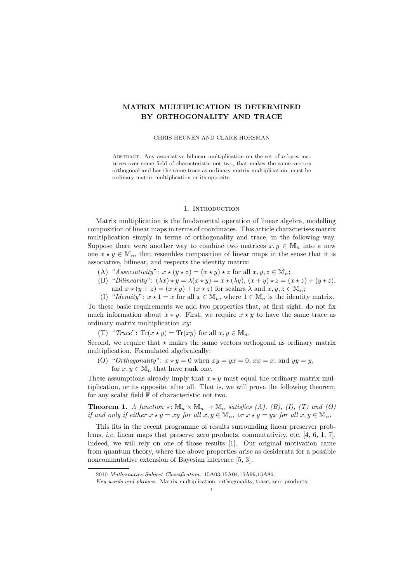# MATRIX MULTIPLICATION IS DETERMINED BY ORTHOGONALITY AND TRACE

### CHRIS HEUNEN AND CLARE HORSMAN

ABSTRACT. Any associative bilinear multiplication on the set of  $n$ -by- $n$  matrices over some field of characteristic not two, that makes the same vectors orthogonal and has the same trace as ordinary matrix multiplication, must be ordinary matrix multiplication or its opposite.

## 1. Introduction

Matrix multiplication is the fundamental operation of linear algebra, modelling composition of linear maps in terms of coordinates. This article characterises matrix multiplication simply in terms of orthogonality and trace, in the following way. Suppose there were another way to combine two matrices  $x, y \in \mathbb{M}_n$  into a new one  $x \star y \in \mathbb{M}_n$ , that resembles composition of linear maps in the sense that it is associative, bilinear, and respects the identity matrix:

- (A) "Associativity":  $x \star (y \star z) = (x \star y) \star z$  for all  $x, y, z \in \mathbb{M}_n$ ;
- (B) "Bilinearity":  $(\lambda x) \star y = \lambda (x \star y) = x \star (\lambda y)$ ,  $(x + y) \star z = (x \star z) + (y \star z)$ , and  $x \star (y + z) = (x \star y) + (x \star z)$  for scalars  $\lambda$  and  $x, y, z \in M_n$ ;
- (I) "Identity":  $x \star 1 = x$  for all  $x \in \mathbb{M}_n$ , where  $1 \in \mathbb{M}_n$  is the identity matrix.

To these basic requirements we add two properties that, at first sight, do not fix much information about  $x \star y$ . First, we require  $x \star y$  to have the same trace as ordinary matrix multiplication  $xy$ :

(T) "Trace": Tr $(x \star y)$  = Tr $(xy)$  for all  $x, y \in \mathbb{M}_n$ .

Second, we require that  $\star$  makes the same vectors orthogonal as ordinary matrix multiplication. Formulated algebraically:

(O) "Orthogonality":  $x \star y = 0$  when  $xy = yx = 0$ ,  $xx = x$ , and  $yy = y$ , for  $x, y \in \mathbb{M}_n$  that have rank one.

These assumptions already imply that  $x \star y$  must equal the ordinary matrix multiplication, or its opposite, after all. That is, we will prove the following theorem, for any scalar field F of characteristic not two.

**Theorem 1.** A function  $\star : \mathbb{M}_n \times \mathbb{M}_n \to \mathbb{M}_n$  satisfies (A), (B), (I), (T) and (O) if and only if either  $x \star y = xy$  for all  $x, y \in \mathbb{M}_n$ , or  $x \star y = yx$  for all  $x, y \in \mathbb{M}_n$ .

This fits in the recent programme of results surrounding linear preserver problems, i.e. linear maps that preserve zero products, commutativity, etc. [4, 6, 1, 7]. Indeed, we will rely on one of those results [1]. Our original motivation came from quantum theory, where the above properties arise as desiderata for a possible noncommutative extension of Bayesian inference [5, 3].

<sup>2010</sup> Mathematics Subject Classification. 15A03,15A04,15A99,15A86.

Key words and phrases. Matrix multiplication, orthogonality, trace, zero products.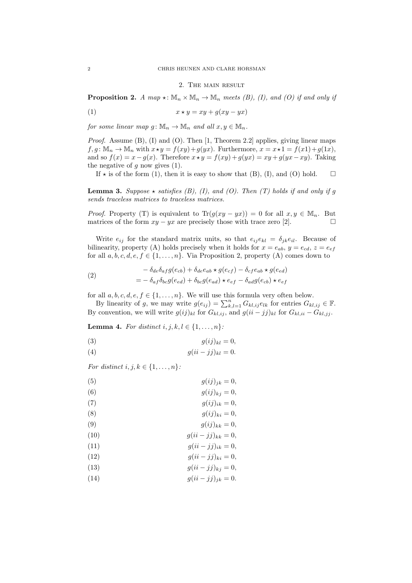#### 2. The main result

**Proposition 2.** A map  $\star : \mathbb{M}_n \times \mathbb{M}_n \to \mathbb{M}_n$  meets (B), (I), and (O) if and only if

$$
(1) \t\t x \star y = xy + g(xy - yx)
$$

for some linear map  $g: \mathbb{M}_n \to \mathbb{M}_n$  and all  $x, y \in \mathbb{M}_n$ .

*Proof.* Assume  $(B)$ ,  $(I)$  and  $(O)$ . Then  $[1, Theorem 2.2]$  applies, giving linear maps  $f, q: \mathbb{M}_n \to \mathbb{M}_n$  with  $x \star y = f(xy) + q(yx)$ . Furthermore,  $x = x \star 1 = f(x1) + q(1x)$ , and so  $f(x) = x - g(x)$ . Therefore  $x \star y = f(xy) + g(yx) = xy + g(yx - xy)$ . Taking the negative of q now gives  $(1)$ .

If  $\star$  is of the form (1), then it is easy to show that (B), (I), and (O) hold.  $\square$ 

**Lemma 3.** Suppose  $\star$  satisfies (B), (I), and (O). Then (T) holds if and only if g sends traceless matrices to traceless matrices.

*Proof.* Property (T) is equivalent to  $\text{Tr}(g(xy - yx)) = 0$  for all  $x, y \in \mathbb{M}_n$ . But matrices of the form  $xy - yx$  are precisely those with trace zero [2].

Write  $e_{ij}$  for the standard matrix units, so that  $e_{ij}e_{kl} = \delta_{ik}e_{il}$ . Because of bilinearity, property (A) holds precisely when it holds for  $x = e_{ab}$ ,  $y = e_{cd}$ ,  $z = e_{ef}$ for all  $a, b, c, d, e, f \in \{1, ..., n\}$ . Via Proposition 2, property (A) comes down to

(2) 
$$
- \delta_{de}\delta_{af}g(e_{cb}) + \delta_{de}e_{ab} \star g(e_{cf}) - \delta_{cf}e_{ab} \star g(e_{ed})
$$

$$
= - \delta_{af}\delta_{bc}g(e_{ed}) + \delta_{bc}g(e_{ad}) \star e_{ef} - \delta_{ad}g(e_{cb}) \star e_{ef}
$$

for all  $a, b, c, d, e, f \in \{1, \ldots, n\}$ . We will use this formula very often below.

By linearity of g, we may write  $g(e_{ij}) = \sum_{k,l=1}^{n} G_{kl,ij} e_{lk}$  for entries  $G_{kl,ij} \in \mathbb{F}$ . By convention, we will write  $g(ij)_{kl}$  for  $G_{kl,ij}$ , and  $g(ii - jj)_{kl}$  for  $G_{kl,ii} - G_{kl,jj}$ .

**Lemma 4.** For distinct  $i, j, k, l \in \{1, \ldots, n\}$ :

$$
(3) \t\t g(ij)_{kl} = 0,
$$

$$
(4) \t\t g(ii-jj)_{kl}=0.
$$

For distinct  $i, j, k \in \{1, \ldots, n\}$ :

(5)  
\n
$$
g(ij)_{jk} = 0,
$$
\n(6)  
\n
$$
g(ij)_{kj} = 0,
$$
\n(7)  
\n
$$
g(ij)_{ik} = 0,
$$
\n(8)  
\n
$$
g(ij)_{ki} = 0,
$$
\n(9)  
\n
$$
g(ij)_{kk} = 0,
$$
\n(10)  
\n
$$
g(ii - jj)_{ik} = 0,
$$
\n(11)  
\n
$$
g(ii - jj)_{ki} = 0,
$$
\n(12)  
\n
$$
g(ii - jj)_{kj} = 0,
$$
\n(13)  
\n
$$
g(ii - jj)_{kj} = 0,
$$
\n(14)  
\n
$$
g(ii - jj)_{jk} = 0.
$$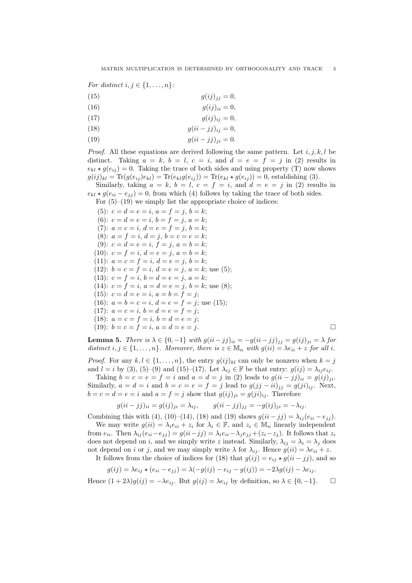For distinct  $i, j \in \{1, \ldots, n\}$ :

$$
(15) \t\t g(ij)_{jj} = 0,
$$

(16)  $g(ij)_{ii} = 0,$ 

$$
(17) \t\t g(ij)_{ij} = 0,
$$

(18)  $g(ii - jj)_{ii} = 0,$ 

$$
(19) \t\t g(ii-<)j_{ji}=0.
$$

*Proof.* All these equations are derived following the same pattern. Let  $i, j, k, l$  be distinct. Taking  $a = k$ ,  $b = l$ ,  $c = i$ , and  $d = e = f = j$  in (2) results in  $e_{kl} \star g(e_{ij}) = 0$ . Taking the trace of both sides and using property (T) now shows  $g(ij)_{kl} = \text{Tr}(g(e_{ij})e_{kl}) = \text{Tr}(e_{kl}g(e_{ij})) = \text{Tr}(e_{kl} \star g(e_{ij})) = 0$ , establishing (3).

Similarly, taking  $a = k$ ,  $b = l$ ,  $c = f = i$ , and  $d = e = j$  in (2) results in  $e_{kl} \star g(e_{ii} - e_{jj}) = 0$ , from which (4) follows by taking the trace of both sides.

For  $(5)-(19)$  we simply list the appropriate choice of indices:

(5):  $c = d = e = i, a = f = j, b = k;$ (6):  $c = d = e = i, b = f = j, a = k;$ (7):  $a = c = i$ ,  $d = e = f = j$ ,  $b = k$ ; (8):  $a = f = i, d = j, b = c = e = k;$ (9):  $c = d = e = i$ ,  $f = j$ ,  $a = b = k$ ; (10):  $c = f = i, d = e = j, a = b = k;$ (11):  $a = c = f = i, d = e = j, b = k;$ (12):  $b = c = f = i$ ,  $d = e = j$ ,  $a = k$ ; use (5); (13):  $c = f = i$ ,  $b = d = e = j$ ,  $a = k$ ; (14):  $c = f = i$ ,  $a = d = e = j$ ,  $b = k$ ; use (8); (15):  $c = d = e = i, a = b = f = j;$ (16):  $a = b = c = i$ ,  $d = e = f = j$ ; use (15); (17):  $a = c = i, b = d = e = f = j;$ (18):  $a = c = f = i, b = d = e = j;$ (19):  $b = c = f = i, a = d = e = j.$ 

**Lemma 5.** There is  $\lambda \in \{0, -1\}$  with  $g(ii - jj)_{ii} = -g(ii - jj)_{jj} = g(ij)_{ji} = \lambda$  for distinct  $i, j \in \{1, ..., n\}$ . Moreover, there is  $z \in \mathbb{M}_n$  with  $g(ii) = \lambda e_{ii} + z$  for all i.

*Proof.* For any  $k, l \in \{1, ..., n\}$ , the entry  $g(ij)_{kl}$  can only be nonzero when  $k = j$ and  $l = i$  by (3), (5)–(9) and (15)–(17). Let  $\lambda_{ij} \in \mathbb{F}$  be that entry:  $g(ij) = \lambda_{ij} e_{ij}$ .

Taking  $b = c = e = f = i$  and  $a = d = j$  in (2) leads to  $g(ii - jj)_{ii} = g(ij)_{ji}$ . Similarly,  $a = d = i$  and  $b = c = e = f = j$  lead to  $g(jj - ii)_{ij} = g(ji)_{ij}$ . Next,  $b = c = d = e = i$  and  $a = f = j$  show that  $g(ij)_{ii} = g(ji)_{ii}$ . Therefore

$$
g(ii - jj)_{ii} = g(ij)_{ji} = \lambda_{ij}, \qquad g(ii - jj)_{jj} = -g(ij)_{ji} = -\lambda_{ij}.
$$

Combining this with (4), (10)–(14), (18) and (19) shows  $g(ii - jj) = \lambda_{ij} (e_{ii} - e_{jj})$ .

We may write  $g(ii) = \lambda_i e_{ii} + z_i$  for  $\lambda_i \in \mathbb{F}$ , and  $z_i \in \mathbb{M}_n$  linearly independent from  $e_{ii}$ . Then  $\lambda_{ij} (e_{ii} - e_{jj}) = g(ii - jj) = \lambda_i e_{ii} - \lambda_j e_{jj} + (z_i - z_j)$ . It follows that  $z_i$ does not depend on i, and we simply write z instead. Similarly,  $\lambda_{ij} = \lambda_i = \lambda_j$  does not depend on *i* or *j*, and we may simply write  $\lambda$  for  $\lambda_{ij}$ . Hence  $g(ii) = \lambda e_{ii} + z$ . It follows from the choice of indices for (18) that  $g(ij) = e_{ij} \star g(ii - jj)$ , and so

$$
g(ij) = \lambda e_{ij} \star (e_{ii} - e_{jj}) = \lambda(-g(ij) - e_{ij} - g(ij)) = -2\lambda g(ij) - \lambda e_{ij}.
$$

Hence  $(1+2\lambda)g(ij) = -\lambda e_{ij}$ . But  $g(ij) = \lambda e_{ij}$  by definition, so  $\lambda \in \{0,-1\}$ .  $\Box$